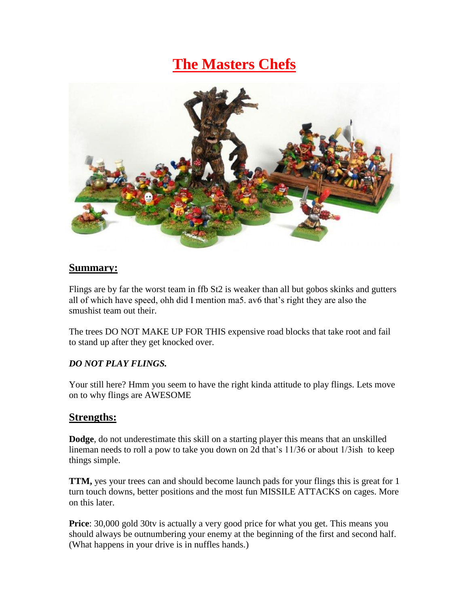# **The Masters Chefs**



#### **Summary:**

Flings are by far the worst team in ffb St2 is weaker than all but gobos skinks and gutters all of which have speed, ohh did I mention ma5. av6 that's right they are also the smushist team out their.

The trees DO NOT MAKE UP FOR THIS expensive road blocks that take root and fail to stand up after they get knocked over.

#### *DO NOT PLAY FLINGS.*

Your still here? Hmm you seem to have the right kinda attitude to play flings. Lets move on to why flings are AWESOME

## **Strengths:**

**Dodge**, do not underestimate this skill on a starting player this means that an unskilled lineman needs to roll a pow to take you down on 2d that's 11/36 or about 1/3ish to keep things simple.

**TTM,** yes your trees can and should become launch pads for your flings this is great for 1 turn touch downs, better positions and the most fun MISSILE ATTACKS on cages. More on this later.

**Price**: 30,000 gold 30tv is actually a very good price for what you get. This means you should always be outnumbering your enemy at the beginning of the first and second half. (What happens in your drive is in nuffles hands.)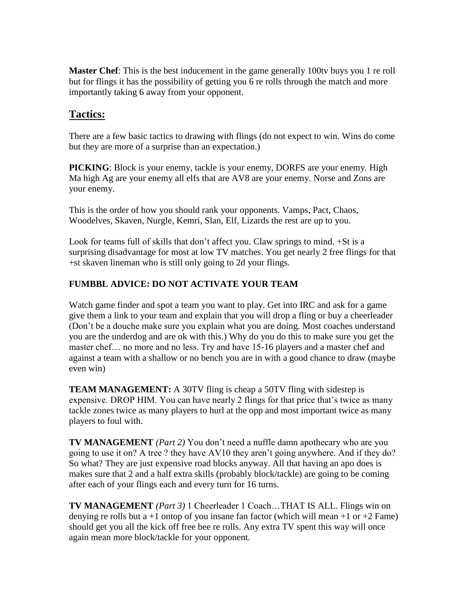**Master Chef**: This is the best inducement in the game generally 100ty buys you 1 re roll but for flings it has the possibility of getting you 6 re rolls through the match and more importantly taking 6 away from your opponent.

## **Tactics:**

There are a few basic tactics to drawing with flings (do not expect to win. Wins do come but they are more of a surprise than an expectation.)

**PICKING**: Block is your enemy, tackle is your enemy, DORFS are your enemy. High Ma high Ag are your enemy all elfs that are AV8 are your enemy. Norse and Zons are your enemy.

This is the order of how you should rank your opponents. Vamps, Pact, Chaos, Woodelves, Skaven, Nurgle, Kemri, Slan, Elf, Lizards the rest are up to you.

Look for teams full of skills that don't affect you. Claw springs to mind. +St is a surprising disadvantage for most at low TV matches. You get nearly 2 free flings for that +st skaven lineman who is still only going to 2d your flings.

## **FUMBBL ADVICE: DO NOT ACTIVATE YOUR TEAM**

Watch game finder and spot a team you want to play. Get into IRC and ask for a game give them a link to your team and explain that you will drop a fling or buy a cheerleader (Don't be a douche make sure you explain what you are doing. Most coaches understand you are the underdog and are ok with this.) Why do you do this to make sure you get the master chef… no more and no less. Try and have 15-16 players and a master chef and against a team with a shallow or no bench you are in with a good chance to draw (maybe even win)

**TEAM MANAGEMENT:** A 30TV fling is cheap a 50TV fling with sidestep is expensive. DROP HIM. You can have nearly 2 flings for that price that's twice as many tackle zones twice as many players to hurl at the opp and most important twice as many players to foul with.

**TV MANAGEMENT** *(Part 2)* You don't need a nuffle damn apothecary who are you going to use it on? A tree ? they have AV10 they aren't going anywhere. And if they do? So what? They are just expensive road blocks anyway. All that having an apo does is makes sure that 2 and a half extra skills (probably block/tackle) are going to be coming after each of your flings each and every turn for 16 turns.

**TV MANAGEMENT** *(Part 3)* 1 Cheerleader 1 Coach…THAT IS ALL. Flings win on denying re rolls but a  $+1$  ontop of you insane fan factor (which will mean  $+1$  or  $+2$  Fame) should get you all the kick off free bee re rolls. Any extra TV spent this way will once again mean more block/tackle for your opponent.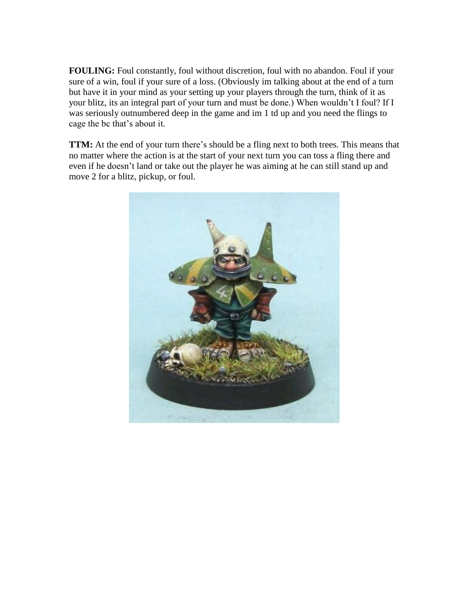FOULING: Foul constantly, foul without discretion, foul with no abandon. Foul if your sure of a win, foul if your sure of a loss. (Obviously im talking about at the end of a turn but have it in your mind as your setting up your players through the turn, think of it as your blitz, its an integral part of your turn and must be done.) When wouldn't I foul? If I was seriously outnumbered deep in the game and im 1 td up and you need the flings to cage the bc that's about it.

**TTM:** At the end of your turn there's should be a fling next to both trees. This means that no matter where the action is at the start of your next turn you can toss a fling there and even if he doesn't land or take out the player he was aiming at he can still stand up and move 2 for a blitz, pickup, or foul.

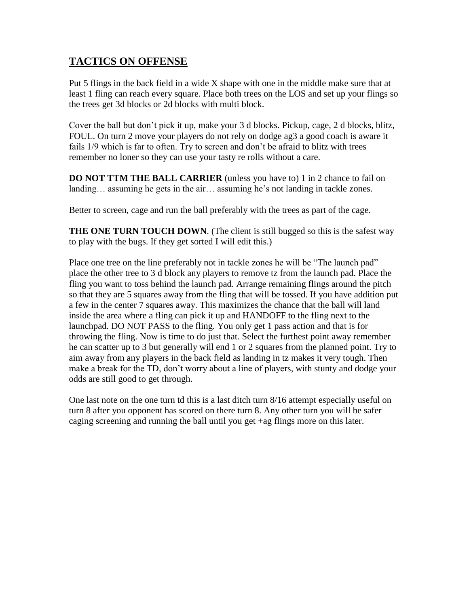## **TACTICS ON OFFENSE**

Put 5 flings in the back field in a wide X shape with one in the middle make sure that at least 1 fling can reach every square. Place both trees on the LOS and set up your flings so the trees get 3d blocks or 2d blocks with multi block.

Cover the ball but don't pick it up, make your 3 d blocks. Pickup, cage, 2 d blocks, blitz, FOUL. On turn 2 move your players do not rely on dodge ag3 a good coach is aware it fails 1/9 which is far to often. Try to screen and don't be afraid to blitz with trees remember no loner so they can use your tasty re rolls without a care.

**DO NOT TTM THE BALL CARRIER** (unless you have to) 1 in 2 chance to fail on landing… assuming he gets in the air… assuming he's not landing in tackle zones.

Better to screen, cage and run the ball preferably with the trees as part of the cage.

**THE ONE TURN TOUCH DOWN.** (The client is still bugged so this is the safest way to play with the bugs. If they get sorted I will edit this.)

Place one tree on the line preferably not in tackle zones he will be "The launch pad" place the other tree to 3 d block any players to remove tz from the launch pad. Place the fling you want to toss behind the launch pad. Arrange remaining flings around the pitch so that they are 5 squares away from the fling that will be tossed. If you have addition put a few in the center 7 squares away. This maximizes the chance that the ball will land inside the area where a fling can pick it up and HANDOFF to the fling next to the launchpad. DO NOT PASS to the fling. You only get 1 pass action and that is for throwing the fling. Now is time to do just that. Select the furthest point away remember he can scatter up to 3 but generally will end 1 or 2 squares from the planned point. Try to aim away from any players in the back field as landing in tz makes it very tough. Then make a break for the TD, don't worry about a line of players, with stunty and dodge your odds are still good to get through.

One last note on the one turn td this is a last ditch turn 8/16 attempt especially useful on turn 8 after you opponent has scored on there turn 8. Any other turn you will be safer caging screening and running the ball until you get +ag flings more on this later.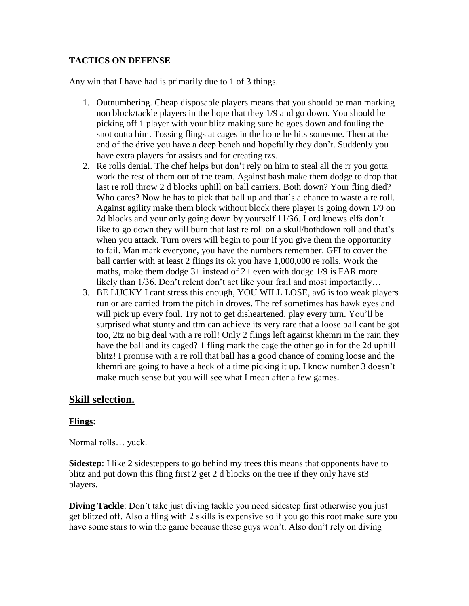#### **TACTICS ON DEFENSE**

Any win that I have had is primarily due to 1 of 3 things.

- 1. Outnumbering. Cheap disposable players means that you should be man marking non block/tackle players in the hope that they 1/9 and go down. You should be picking off 1 player with your blitz making sure he goes down and fouling the snot outta him. Tossing flings at cages in the hope he hits someone. Then at the end of the drive you have a deep bench and hopefully they don't. Suddenly you have extra players for assists and for creating tzs.
- 2. Re rolls denial. The chef helps but don't rely on him to steal all the rr you gotta work the rest of them out of the team. Against bash make them dodge to drop that last re roll throw 2 d blocks uphill on ball carriers. Both down? Your fling died? Who cares? Now he has to pick that ball up and that's a chance to waste a re roll. Against agility make them block without block there player is going down 1/9 on 2d blocks and your only going down by yourself 11/36. Lord knows elfs don't like to go down they will burn that last re roll on a skull/bothdown roll and that's when you attack. Turn overs will begin to pour if you give them the opportunity to fail. Man mark everyone, you have the numbers remember. GFI to cover the ball carrier with at least 2 flings its ok you have 1,000,000 re rolls. Work the maths, make them dodge  $3+$  instead of  $2+$  even with dodge  $1/9$  is FAR more likely than 1/36. Don't relent don't act like your frail and most importantly…
- 3. BE LUCKY I cant stress this enough, YOU WILL LOSE, av6 is too weak players run or are carried from the pitch in droves. The ref sometimes has hawk eyes and will pick up every foul. Try not to get disheartened, play every turn. You'll be surprised what stunty and ttm can achieve its very rare that a loose ball cant be got too, 2tz no big deal with a re roll! Only 2 flings left against khemri in the rain they have the ball and its caged? 1 fling mark the cage the other go in for the 2d uphill blitz! I promise with a re roll that ball has a good chance of coming loose and the khemri are going to have a heck of a time picking it up. I know number 3 doesn't make much sense but you will see what I mean after a few games.

## **Skill selection.**

#### **Flings:**

Normal rolls… yuck.

**Sidestep**: I like 2 sidesteppers to go behind my trees this means that opponents have to blitz and put down this fling first 2 get 2 d blocks on the tree if they only have st3 players.

**Diving Tackle**: Don't take just diving tackle you need sidestep first otherwise you just get blitzed off. Also a fling with 2 skills is expensive so if you go this root make sure you have some stars to win the game because these guys won't. Also don't rely on diving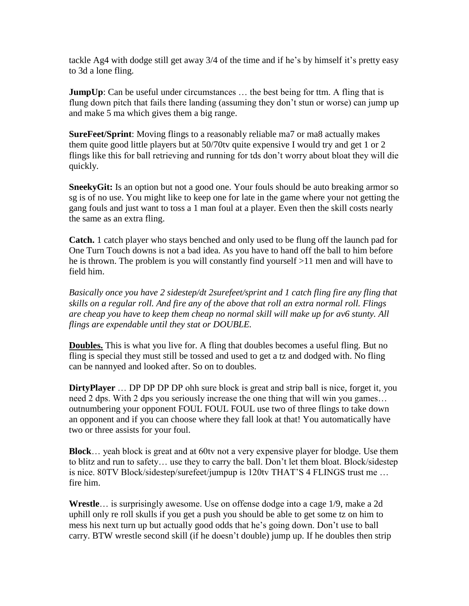tackle Ag4 with dodge still get away 3/4 of the time and if he's by himself it's pretty easy to 3d a lone fling.

**JumpUp**: Can be useful under circumstances ... the best being for ttm. A fling that is flung down pitch that fails there landing (assuming they don't stun or worse) can jump up and make 5 ma which gives them a big range.

**SureFeet/Sprint**: Moving flings to a reasonably reliable ma7 or ma8 actually makes them quite good little players but at 50/70tv quite expensive I would try and get 1 or 2 flings like this for ball retrieving and running for tds don't worry about bloat they will die quickly.

**SneekyGit:** Is an option but not a good one. Your fouls should be auto breaking armor so sg is of no use. You might like to keep one for late in the game where your not getting the gang fouls and just want to toss a 1 man foul at a player. Even then the skill costs nearly the same as an extra fling.

**Catch.** 1 catch player who stays benched and only used to be flung off the launch pad for One Turn Touch downs is not a bad idea. As you have to hand off the ball to him before he is thrown. The problem is you will constantly find yourself >11 men and will have to field him.

*Basically once you have 2 sidestep/dt 2surefeet/sprint and 1 catch fling fire any fling that skills on a regular roll. And fire any of the above that roll an extra normal roll. Flings are cheap you have to keep them cheap no normal skill will make up for av6 stunty. All flings are expendable until they stat or DOUBLE.*

**Doubles.** This is what you live for. A fling that doubles becomes a useful fling. But no fling is special they must still be tossed and used to get a tz and dodged with. No fling can be nannyed and looked after. So on to doubles.

**DirtyPlayer** ... DP DP DP DP ohh sure block is great and strip ball is nice, forget it, you need 2 dps. With 2 dps you seriously increase the one thing that will win you games… outnumbering your opponent FOUL FOUL FOUL use two of three flings to take down an opponent and if you can choose where they fall look at that! You automatically have two or three assists for your foul.

**Block**… yeah block is great and at 60tv not a very expensive player for blodge. Use them to blitz and run to safety… use they to carry the ball. Don't let them bloat. Block/sidestep is nice. 80TV Block/sidestep/surefeet/jumpup is 120tv THAT'S 4 FLINGS trust me … fire him.

**Wrestle**… is surprisingly awesome. Use on offense dodge into a cage 1/9, make a 2d uphill only re roll skulls if you get a push you should be able to get some tz on him to mess his next turn up but actually good odds that he's going down. Don't use to ball carry. BTW wrestle second skill (if he doesn't double) jump up. If he doubles then strip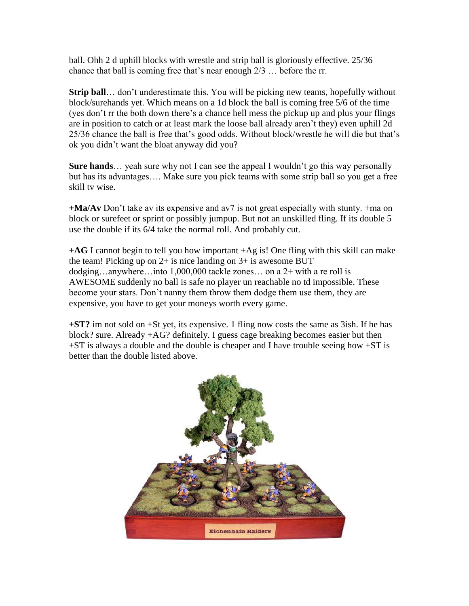ball. Ohh 2 d uphill blocks with wrestle and strip ball is gloriously effective. 25/36 chance that ball is coming free that's near enough 2/3 … before the rr.

**Strip ball**… don't underestimate this. You will be picking new teams, hopefully without block/surehands yet. Which means on a 1d block the ball is coming free 5/6 of the time (yes don't rr the both down there's a chance hell mess the pickup up and plus your flings are in position to catch or at least mark the loose ball already aren't they) even uphill 2d 25/36 chance the ball is free that's good odds. Without block/wrestle he will die but that's ok you didn't want the bloat anyway did you?

**Sure hands**… yeah sure why not I can see the appeal I wouldn't go this way personally but has its advantages…. Make sure you pick teams with some strip ball so you get a free skill tv wise.

**+Ma/Av** Don't take av its expensive and av7 is not great especially with stunty. +ma on block or surefeet or sprint or possibly jumpup. But not an unskilled fling. If its double 5 use the double if its 6/4 take the normal roll. And probably cut.

**+AG** I cannot begin to tell you how important +Ag is! One fling with this skill can make the team! Picking up on  $2+$  is nice landing on  $3+$  is awesome BUT dodging…anywhere…into 1,000,000 tackle zones… on a 2+ with a re roll is AWESOME suddenly no ball is safe no player un reachable no td impossible. These become your stars. Don't nanny them throw them dodge them use them, they are expensive, you have to get your moneys worth every game.

**+ST?** im not sold on +St yet, its expensive. 1 fling now costs the same as 3ish. If he has block? sure. Already +AG? definitely. I guess cage breaking becomes easier but then  $+ST$  is always a double and the double is cheaper and I have trouble seeing how  $+ST$  is better than the double listed above.

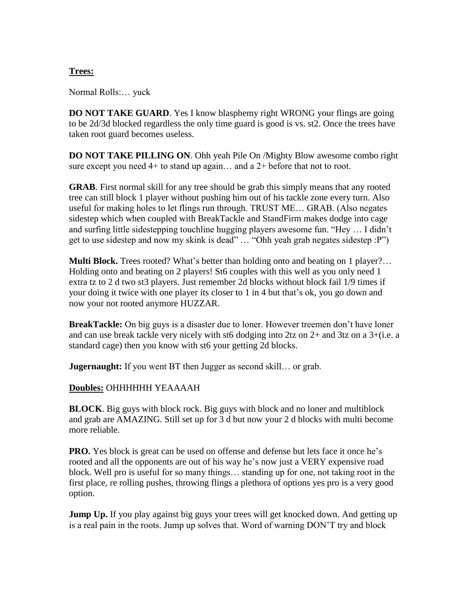#### **Trees:**

Normal Rolls:… yuck

**DO NOT TAKE GUARD**. Yes I know blasphemy right WRONG your flings are going to be 2d/3d blocked regardless the only time guard is good is vs. st2. Once the trees have taken root guard becomes useless.

**DO NOT TAKE PILLING ON**. Ohh yeah Pile On /Mighty Blow awesome combo right sure except you need  $4+$  to stand up again... and a  $2+$  before that not to root.

**GRAB**. First normal skill for any tree should be grab this simply means that any rooted tree can still block 1 player without pushing him out of his tackle zone every turn. Also useful for making holes to let flings run through. TRUST ME… GRAB. (Also negates sidestep which when coupled with BreakTackle and StandFirm makes dodge into cage and surfing little sidestepping touchline hugging players awesome fun. "Hey … I didn't get to use sidestep and now my skink is dead" … "Ohh yeah grab negates sidestep :P")

**Multi Block.** Trees rooted? What's better than holding onto and beating on 1 player?... Holding onto and beating on 2 players! St6 couples with this well as you only need 1 extra tz to 2 d two st3 players. Just remember 2d blocks without block fail 1/9 times if your doing it twice with one player its closer to 1 in 4 but that's ok, you go down and now your not rooted anymore HUZZAR.

**BreakTackle:** On big guys is a disaster due to loner. However treemen don't have loner and can use break tackle very nicely with st6 dodging into  $2tz$  on  $2+$  and  $3tz$  on a  $3+(i.e.$  a standard cage) then you know with st6 your getting 2d blocks.

**Jugernaught:** If you went BT then Jugger as second skill... or grab.

#### **Doubles:** OHHHHHH YEAAAAH

**BLOCK**. Big guys with block rock. Big guys with block and no loner and multiblock and grab are AMAZING. Still set up for 3 d but now your 2 d blocks with multi become more reliable.

**PRO.** Yes block is great can be used on offense and defense but lets face it once he's rooted and all the opponents are out of his way he's now just a VERY expensive road block. Well pro is useful for so many things… standing up for one, not taking root in the first place, re rolling pushes, throwing flings a plethora of options yes pro is a very good option.

**Jump Up.** If you play against big guys your trees will get knocked down. And getting up is a real pain in the roots. Jump up solves that. Word of warning DON'T try and block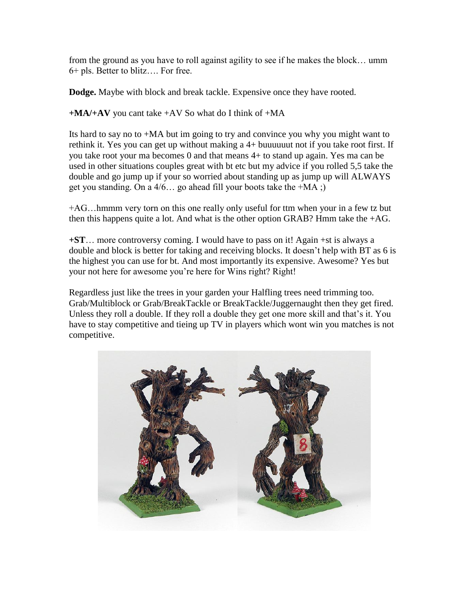from the ground as you have to roll against agility to see if he makes the block… umm 6+ pls. Better to blitz…. For free.

**Dodge.** Maybe with block and break tackle. Expensive once they have rooted.

**+MA/+AV** you cant take +AV So what do I think of +MA

Its hard to say no to +MA but im going to try and convince you why you might want to rethink it. Yes you can get up without making a 4+ buuuuuut not if you take root first. If you take root your ma becomes 0 and that means 4+ to stand up again. Yes ma can be used in other situations couples great with bt etc but my advice if you rolled 5,5 take the double and go jump up if your so worried about standing up as jump up will ALWAYS get you standing. On a  $4/6$ ... go ahead fill your boots take the  $+MA$ ;

+AG…hmmm very torn on this one really only useful for ttm when your in a few tz but then this happens quite a lot. And what is the other option GRAB? Hmm take the +AG.

**+ST**… more controversy coming. I would have to pass on it! Again +st is always a double and block is better for taking and receiving blocks. It doesn't help with BT as 6 is the highest you can use for bt. And most importantly its expensive. Awesome? Yes but your not here for awesome you're here for Wins right? Right!

Regardless just like the trees in your garden your Halfling trees need trimming too. Grab/Multiblock or Grab/BreakTackle or BreakTackle/Juggernaught then they get fired. Unless they roll a double. If they roll a double they get one more skill and that's it. You have to stay competitive and tieing up TV in players which wont win you matches is not competitive.

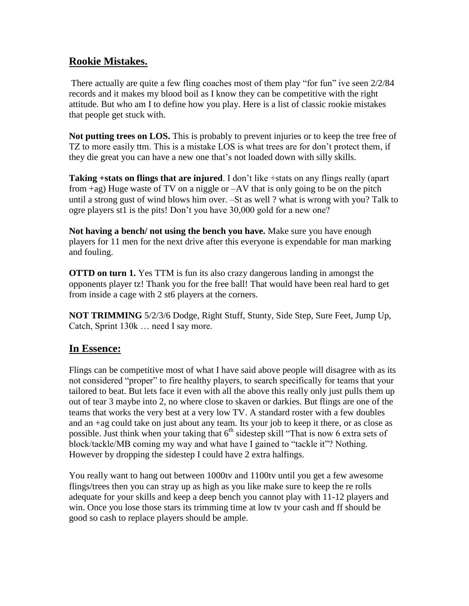## **Rookie Mistakes.**

There actually are quite a few fling coaches most of them play "for fun" ive seen 2/2/84 records and it makes my blood boil as I know they can be competitive with the right attitude. But who am I to define how you play. Here is a list of classic rookie mistakes that people get stuck with.

**Not putting trees on LOS.** This is probably to prevent injuries or to keep the tree free of TZ to more easily ttm. This is a mistake LOS is what trees are for don't protect them, if they die great you can have a new one that's not loaded down with silly skills.

**Taking +stats on flings that are injured**. I don't like +stats on any flings really (apart) from  $+ag$ ) Huge waste of TV on a niggle or  $-AV$  that is only going to be on the pitch until a strong gust of wind blows him over. –St as well ? what is wrong with you? Talk to ogre players st1 is the pits! Don't you have 30,000 gold for a new one?

**Not having a bench/ not using the bench you have.** Make sure you have enough players for 11 men for the next drive after this everyone is expendable for man marking and fouling.

**OTTD on turn 1.** Yes TTM is fun its also crazy dangerous landing in amongst the opponents player tz! Thank you for the free ball! That would have been real hard to get from inside a cage with 2 st6 players at the corners.

**NOT TRIMMING** 5/2/3/6 Dodge, Right Stuff, Stunty, Side Step, Sure Feet, Jump Up, Catch, Sprint 130k … need I say more.

## **In Essence:**

Flings can be competitive most of what I have said above people will disagree with as its not considered "proper" to fire healthy players, to search specifically for teams that your tailored to beat. But lets face it even with all the above this really only just pulls them up out of tear 3 maybe into 2, no where close to skaven or darkies. But flings are one of the teams that works the very best at a very low TV. A standard roster with a few doubles and an +ag could take on just about any team. Its your job to keep it there, or as close as possible. Just think when your taking that  $6<sup>th</sup>$  sidestep skill "That is now 6 extra sets of block/tackle/MB coming my way and what have I gained to "tackle it"? Nothing. However by dropping the sidestep I could have 2 extra halfings.

You really want to hang out between 1000tv and 1100tv until you get a few awesome flings/trees then you can stray up as high as you like make sure to keep the re rolls adequate for your skills and keep a deep bench you cannot play with 11-12 players and win. Once you lose those stars its trimming time at low tv your cash and ff should be good so cash to replace players should be ample.